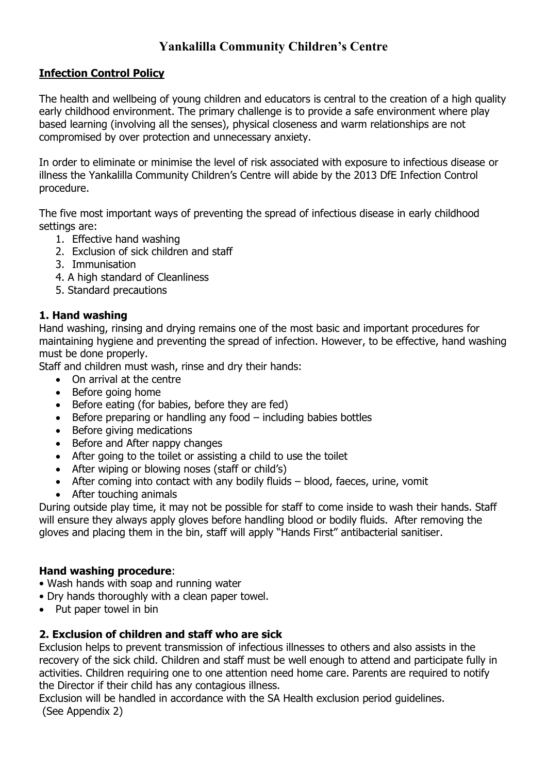# **Yankalilla Community Children's Centre**

#### **Infection Control Policy**

The health and wellbeing of young children and educators is central to the creation of a high quality early childhood environment. The primary challenge is to provide a safe environment where play based learning (involving all the senses), physical closeness and warm relationships are not compromised by over protection and unnecessary anxiety.

In order to eliminate or minimise the level of risk associated with exposure to infectious disease or illness the Yankalilla Community Children's Centre will abide by the 2013 DfE Infection Control procedure.

The five most important ways of preventing the spread of infectious disease in early childhood settings are:

- 1. Effective hand washing
- 2. Exclusion of sick children and staff
- 3. Immunisation
- 4. A high standard of Cleanliness
- 5. Standard precautions

#### **1. Hand washing**

Hand washing, rinsing and drying remains one of the most basic and important procedures for maintaining hygiene and preventing the spread of infection. However, to be effective, hand washing must be done properly.

Staff and children must wash, rinse and dry their hands:

- On arrival at the centre
- Before going home
- Before eating (for babies, before they are fed)
- Before preparing or handling any food including babies bottles
- Before giving medications
- Before and After nappy changes
- After going to the toilet or assisting a child to use the toilet
- After wiping or blowing noses (staff or child's)
- After coming into contact with any bodily fluids blood, faeces, urine, vomit
- After touching animals

During outside play time, it may not be possible for staff to come inside to wash their hands. Staff will ensure they always apply gloves before handling blood or bodily fluids. After removing the gloves and placing them in the bin, staff will apply "Hands First" antibacterial sanitiser.

#### **Hand washing procedure**:

- Wash hands with soap and running water
- Dry hands thoroughly with a clean paper towel.
- Put paper towel in bin

#### **2. Exclusion of children and staff who are sick**

Exclusion helps to prevent transmission of infectious illnesses to others and also assists in the recovery of the sick child. Children and staff must be well enough to attend and participate fully in activities. Children requiring one to one attention need home care. Parents are required to notify the Director if their child has any contagious illness.

Exclusion will be handled in accordance with the SA Health exclusion period guidelines. (See Appendix 2)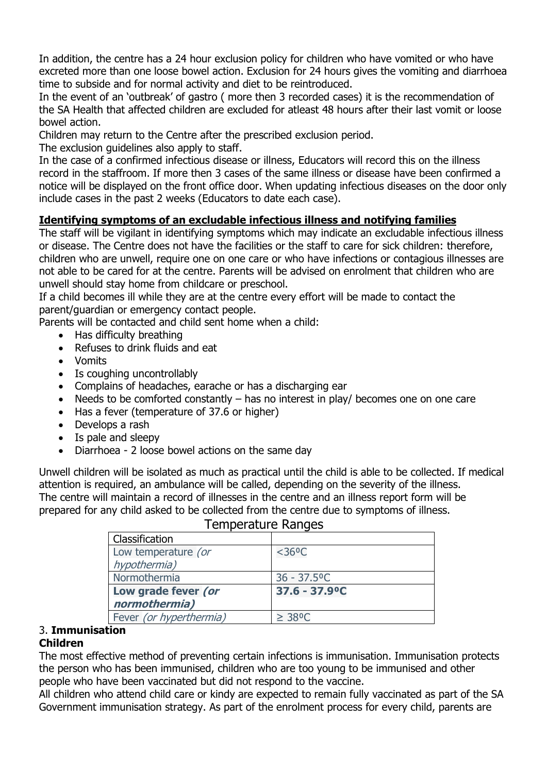In addition, the centre has a 24 hour exclusion policy for children who have vomited or who have excreted more than one loose bowel action. Exclusion for 24 hours gives the vomiting and diarrhoea time to subside and for normal activity and diet to be reintroduced.

In the event of an 'outbreak' of gastro ( more then 3 recorded cases) it is the recommendation of the SA Health that affected children are excluded for atleast 48 hours after their last vomit or loose bowel action.

Children may return to the Centre after the prescribed exclusion period.

The exclusion guidelines also apply to staff.

In the case of a confirmed infectious disease or illness, Educators will record this on the illness record in the staffroom. If more then 3 cases of the same illness or disease have been confirmed a notice will be displayed on the front office door. When updating infectious diseases on the door only include cases in the past 2 weeks (Educators to date each case).

## **Identifying symptoms of an excludable infectious illness and notifying families**

The staff will be vigilant in identifying symptoms which may indicate an excludable infectious illness or disease. The Centre does not have the facilities or the staff to care for sick children: therefore, children who are unwell, require one on one care or who have infections or contagious illnesses are not able to be cared for at the centre. Parents will be advised on enrolment that children who are unwell should stay home from childcare or preschool.

If a child becomes ill while they are at the centre every effort will be made to contact the parent/guardian or emergency contact people.

Parents will be contacted and child sent home when a child:

- Has difficulty breathing
- Refuses to drink fluids and eat
- Vomits
- Is coughing uncontrollably
- Complains of headaches, earache or has a discharging ear
- Needs to be comforted constantly has no interest in play/ becomes one on one care
- Has a fever (temperature of 37.6 or higher)
- Develops a rash
- Is pale and sleepy
- Diarrhoea 2 loose bowel actions on the same day

Unwell children will be isolated as much as practical until the child is able to be collected. If medical attention is required, an ambulance will be called, depending on the severity of the illness. The centre will maintain a record of illnesses in the centre and an illness report form will be prepared for any child asked to be collected from the centre due to symptoms of illness.

| Classification          |                              |
|-------------------------|------------------------------|
| Low temperature (or     | $<$ 36°C                     |
| hypothermia)            |                              |
| Normothermia            | $36 - 37.5$ <sup>o</sup> C   |
| Low grade fever (or     | $37.6 - 37.9$ <sup>o</sup> C |
| normothermia)           |                              |
| Fever (or hyperthermia) | $\geq$ 38°C                  |

## Temperature Ranges

# 3. **Immunisation**

#### **Children**

The most effective method of preventing certain infections is immunisation. Immunisation protects the person who has been immunised, children who are too young to be immunised and other people who have been vaccinated but did not respond to the vaccine.

All children who attend child care or kindy are expected to remain fully vaccinated as part of the SA Government immunisation strategy. As part of the enrolment process for every child, parents are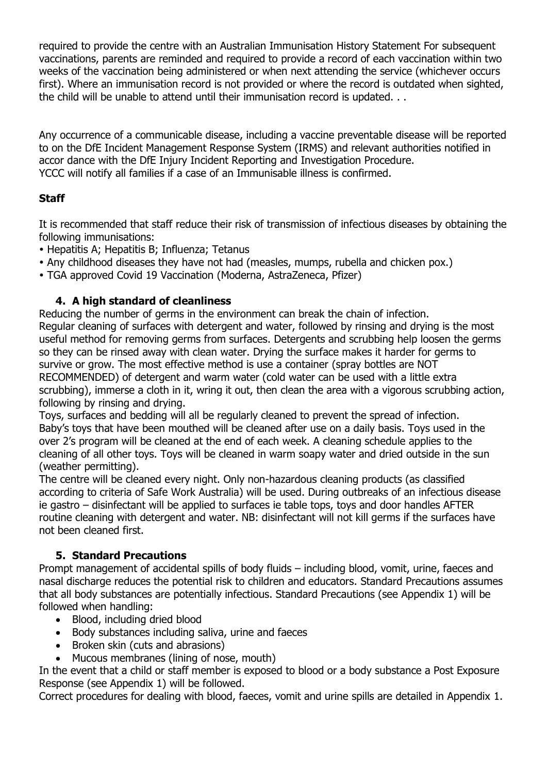required to provide the centre with an Australian Immunisation History Statement For subsequent vaccinations, parents are reminded and required to provide a record of each vaccination within two weeks of the vaccination being administered or when next attending the service (whichever occurs first). Where an immunisation record is not provided or where the record is outdated when sighted, the child will be unable to attend until their immunisation record is updated. . .

Any occurrence of a communicable disease, including a vaccine preventable disease will be reported to on the DfE Incident Management Response System (IRMS) and relevant authorities notified in accor dance with the DfE Injury Incident Reporting and Investigation Procedure. YCCC will notify all families if a case of an Immunisable illness is confirmed.

## **Staff**

It is recommended that staff reduce their risk of transmission of infectious diseases by obtaining the following immunisations:

- Hepatitis A; Hepatitis B; Influenza; Tetanus
- Any childhood diseases they have not had (measles, mumps, rubella and chicken pox.)
- TGA approved Covid 19 Vaccination (Moderna, AstraZeneca, Pfizer)

#### **4. A high standard of cleanliness**

Reducing the number of germs in the environment can break the chain of infection. Regular cleaning of surfaces with detergent and water, followed by rinsing and drying is the most useful method for removing germs from surfaces. Detergents and scrubbing help loosen the germs so they can be rinsed away with clean water. Drying the surface makes it harder for germs to survive or grow. The most effective method is use a container (spray bottles are NOT RECOMMENDED) of detergent and warm water (cold water can be used with a little extra scrubbing), immerse a cloth in it, wring it out, then clean the area with a vigorous scrubbing action, following by rinsing and drying.

Toys, surfaces and bedding will all be regularly cleaned to prevent the spread of infection. Baby's toys that have been mouthed will be cleaned after use on a daily basis. Toys used in the over 2's program will be cleaned at the end of each week. A cleaning schedule applies to the cleaning of all other toys. Toys will be cleaned in warm soapy water and dried outside in the sun (weather permitting).

The centre will be cleaned every night. Only non-hazardous cleaning products (as classified according to criteria of Safe Work Australia) will be used. During outbreaks of an infectious disease ie gastro – disinfectant will be applied to surfaces ie table tops, toys and door handles AFTER routine cleaning with detergent and water. NB: disinfectant will not kill germs if the surfaces have not been cleaned first.

#### **5. Standard Precautions**

Prompt management of accidental spills of body fluids – including blood, vomit, urine, faeces and nasal discharge reduces the potential risk to children and educators. Standard Precautions assumes that all body substances are potentially infectious. Standard Precautions (see Appendix 1) will be followed when handling:

- Blood, including dried blood
- Body substances including saliva, urine and faeces
- Broken skin (cuts and abrasions)
- Mucous membranes (lining of nose, mouth)

In the event that a child or staff member is exposed to blood or a body substance a Post Exposure Response (see Appendix 1) will be followed.

Correct procedures for dealing with blood, faeces, vomit and urine spills are detailed in Appendix 1.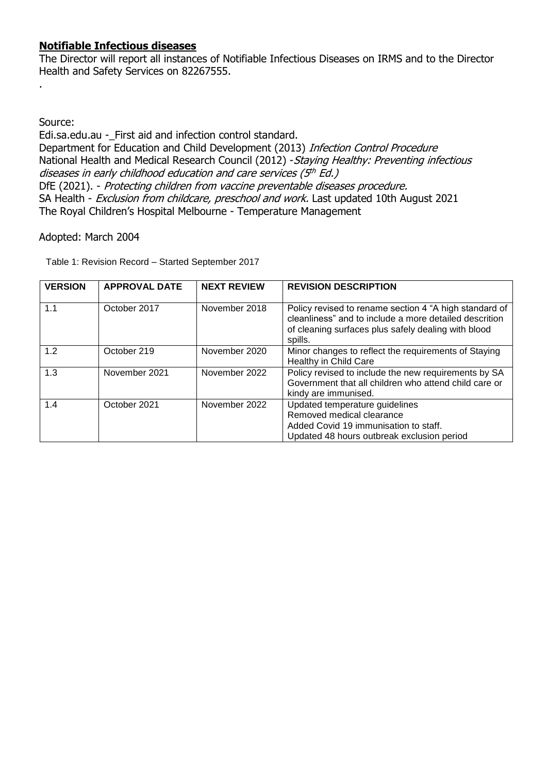#### **Notifiable Infectious diseases**

The Director will report all instances of Notifiable Infectious Diseases on IRMS and to the Director Health and Safety Services on 82267555.

Source:

.

Edi.sa.edu.au -\_First aid and infection control standard. Department for Education and Child Development (2013) Infection Control Procedure National Health and Medical Research Council (2012) - Staying Healthy: Preventing infectious diseases in early childhood education and care services (5th Ed.) DfE (2021). - Protecting children from vaccine preventable diseases procedure. SA Health - Exclusion from childcare, preschool and work. Last updated 10th August 2021 The Royal Children's Hospital Melbourne - Temperature Management

#### Adopted: March 2004

Table 1: Revision Record – Started September 2017

| <b>VERSION</b> | <b>APPROVAL DATE</b> | <b>NEXT REVIEW</b> | <b>REVISION DESCRIPTION</b>                                                                                                                                                        |
|----------------|----------------------|--------------------|------------------------------------------------------------------------------------------------------------------------------------------------------------------------------------|
| 1.1            | October 2017         | November 2018      | Policy revised to rename section 4 "A high standard of<br>cleanliness" and to include a more detailed descrition<br>of cleaning surfaces plus safely dealing with blood<br>spills. |
| 1.2            | October 219          | November 2020      | Minor changes to reflect the requirements of Staying<br>Healthy in Child Care                                                                                                      |
| 1.3            | November 2021        | November 2022      | Policy revised to include the new requirements by SA<br>Government that all children who attend child care or<br>kindy are immunised.                                              |
| 1.4            | October 2021         | November 2022      | Updated temperature guidelines<br>Removed medical clearance<br>Added Covid 19 immunisation to staff.<br>Updated 48 hours outbreak exclusion period                                 |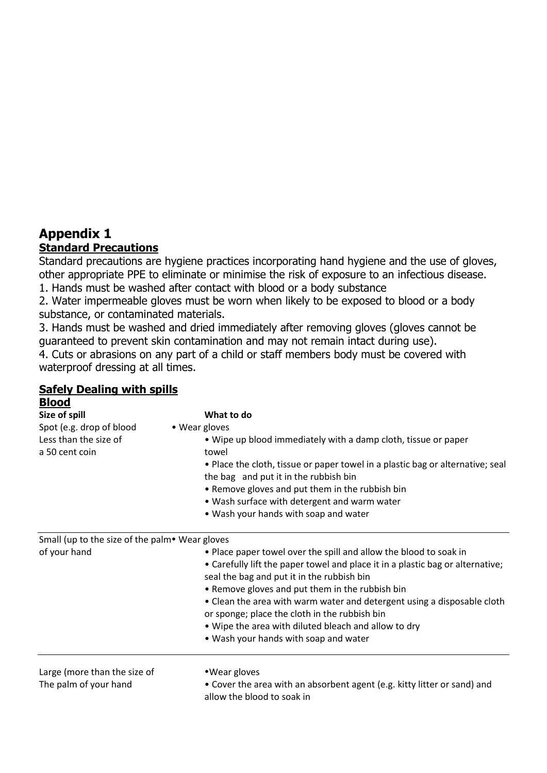# **Appendix 1 Standard Precautions**

Standard precautions are hygiene practices incorporating hand hygiene and the use of gloves, other appropriate PPE to eliminate or minimise the risk of exposure to an infectious disease.

1. Hands must be washed after contact with blood or a body substance

2. Water impermeable gloves must be worn when likely to be exposed to blood or a body substance, or contaminated materials.

3. Hands must be washed and dried immediately after removing gloves (gloves cannot be guaranteed to prevent skin contamination and may not remain intact during use).

4. Cuts or abrasions on any part of a child or staff members body must be covered with waterproof dressing at all times.

# **Safely Dealing with spills**

| <b>Blood</b>                                   |                                                                                |
|------------------------------------------------|--------------------------------------------------------------------------------|
| Size of spill                                  | What to do                                                                     |
| Spot (e.g. drop of blood                       | • Wear gloves                                                                  |
| Less than the size of                          | • Wipe up blood immediately with a damp cloth, tissue or paper                 |
| a 50 cent coin                                 | towel                                                                          |
|                                                | . Place the cloth, tissue or paper towel in a plastic bag or alternative; seal |
|                                                | the bag and put it in the rubbish bin                                          |
|                                                | • Remove gloves and put them in the rubbish bin                                |
|                                                | . Wash surface with detergent and warm water                                   |
|                                                | • Wash your hands with soap and water                                          |
| Small (up to the size of the palm• Wear gloves |                                                                                |
| of your hand                                   | • Place paper towel over the spill and allow the blood to soak in              |
|                                                | • Carefully lift the paper towel and place it in a plastic bag or alternative; |
|                                                | seal the bag and put it in the rubbish bin                                     |
|                                                | • Remove gloves and put them in the rubbish bin                                |
|                                                | • Clean the area with warm water and detergent using a disposable cloth        |
|                                                | or sponge; place the cloth in the rubbish bin                                  |
|                                                | . Wipe the area with diluted bleach and allow to dry                           |
|                                                | • Wash your hands with soap and water                                          |
| Large (more than the size of                   | •Wear gloves                                                                   |
| The palm of your hand                          | • Cover the area with an absorbent agent (e.g. kitty litter or sand) and       |
|                                                | allow the blood to soak in                                                     |